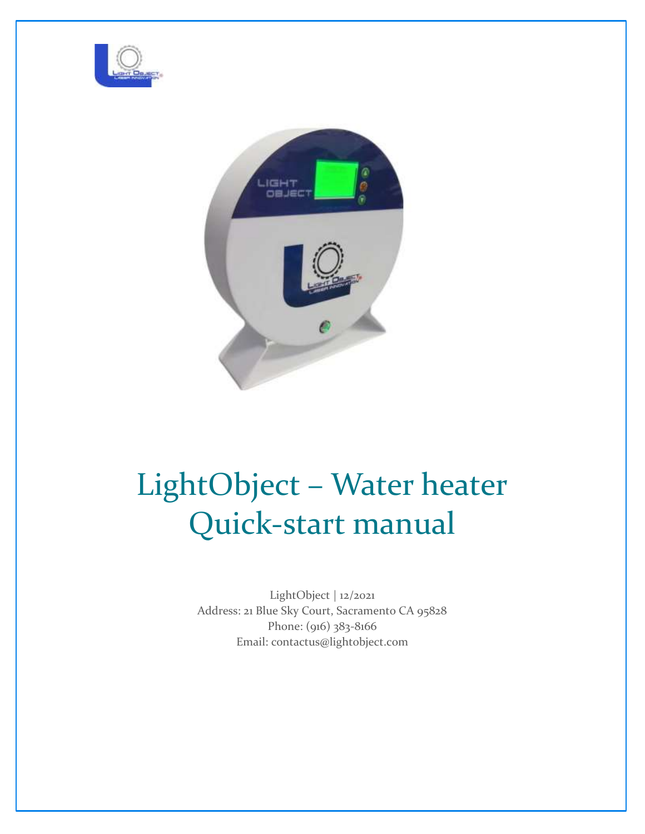



# LightObject – Water heater Quick-start manual

LightObject | 12/2021 Address: 21 Blue Sky Court, Sacramento CA 95828 Phone: (916) 383-8166 Email: contactus@lightobject.com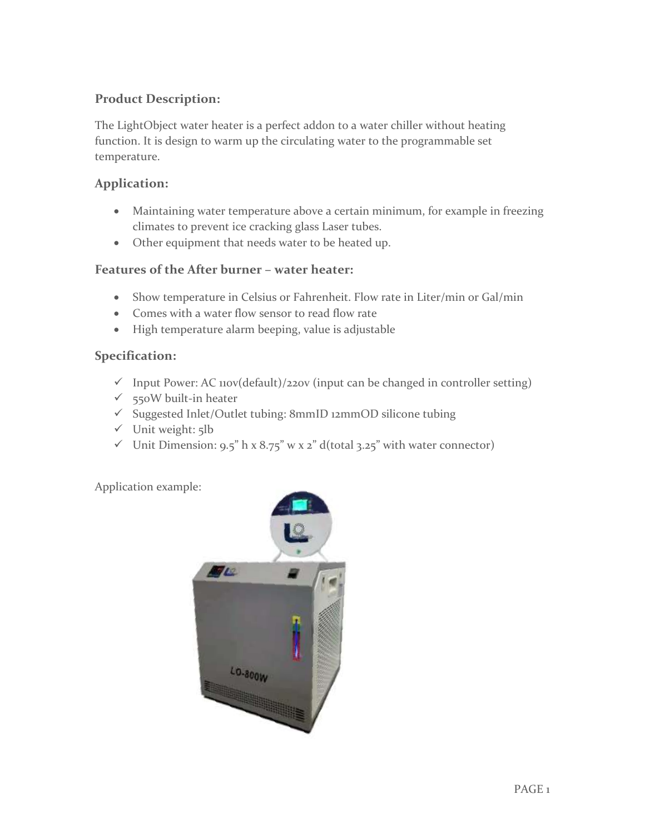# **Product Description:**

The LightObject water heater is a perfect addon to a water chiller without heating function. It is design to warm up the circulating water to the programmable set temperature.

## **Application:**

- Maintaining water temperature above a certain minimum, for example in freezing climates to prevent ice cracking glass Laser tubes.
- Other equipment that needs water to be heated up.

## **Features of the After burner – water heater:**

- Show temperature in Celsius or Fahrenheit. Flow rate in Liter/min or Gal/min
- Comes with a water flow sensor to read flow rate
- High temperature alarm beeping, value is adjustable

## **Specification:**

- $\checkmark$  Input Power: AC 110v(default)/220v (input can be changed in controller setting)
- $\checkmark$  550W built-in heater
- ✓ Suggested Inlet/Outlet tubing: 8mmID 12mmOD silicone tubing
- ✓ Unit weight: 5lb
- $\checkmark$  Unit Dimension: 9.5" h x 8.75" w x 2" d(total 3.25" with water connector)

Application example:

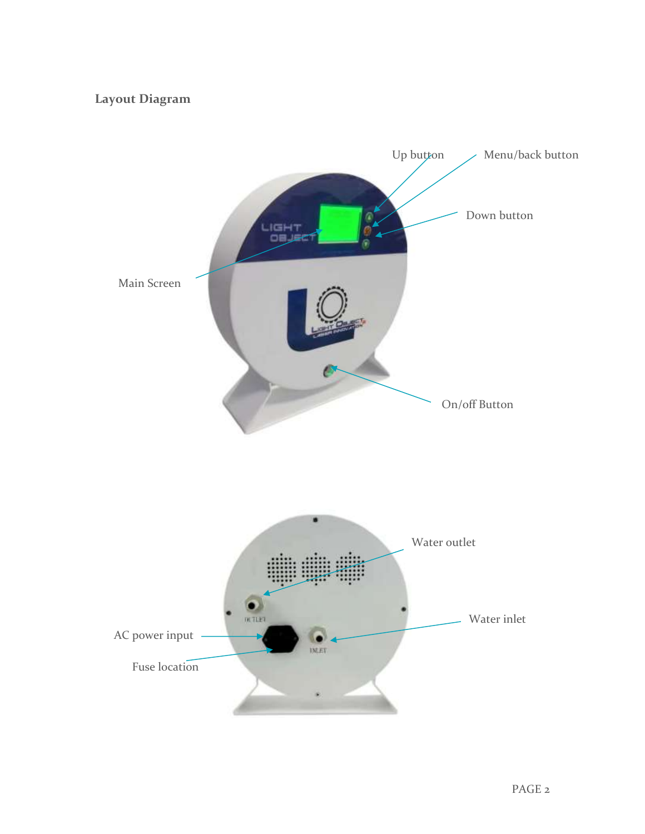# **Layout Diagram**

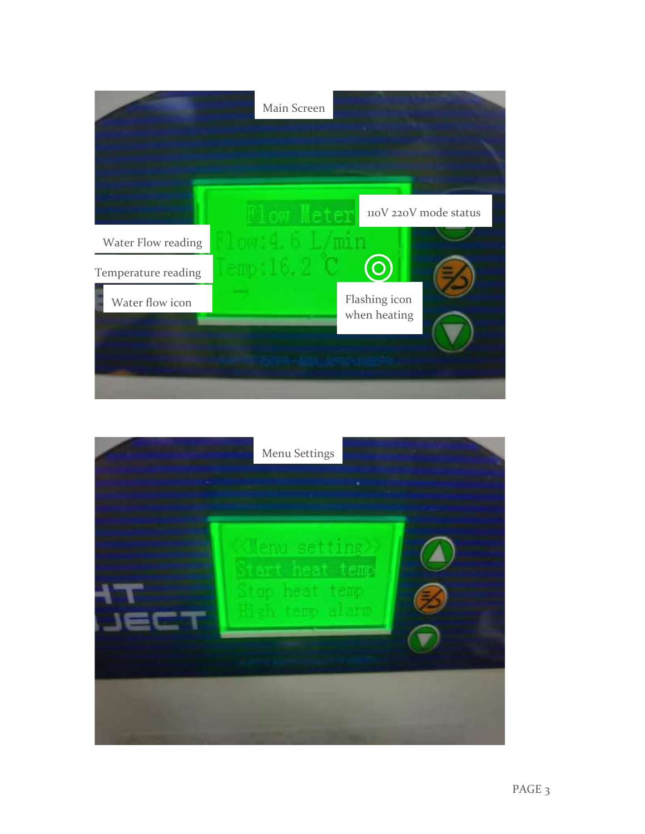

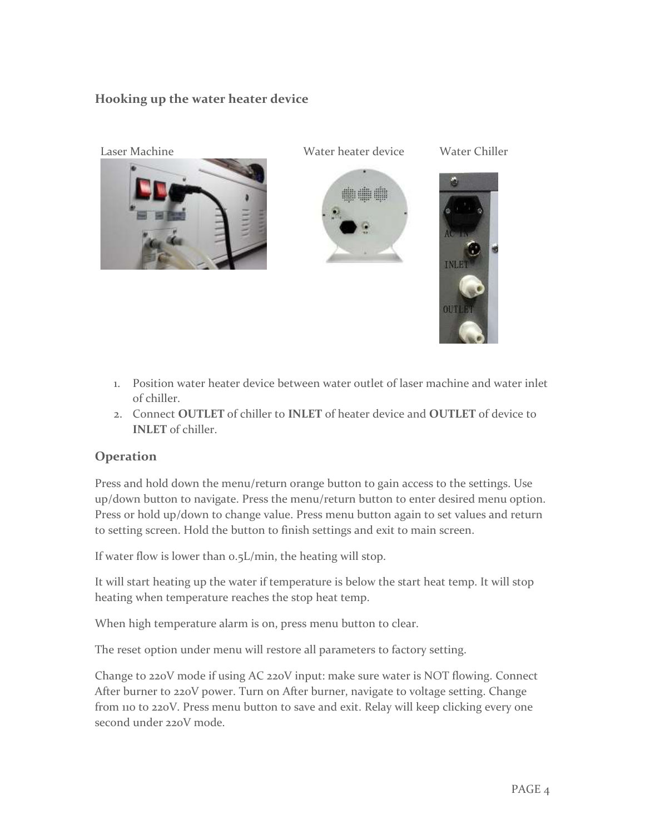# **Hooking up the water heater device**









- 1. Position water heater device between water outlet of laser machine and water inlet of chiller.
- 2. Connect **OUTLET** of chiller to **INLET** of heater device and **OUTLET** of device to **INLET** of chiller.

#### **Operation**

Press and hold down the menu/return orange button to gain access to the settings. Use up/down button to navigate. Press the menu/return button to enter desired menu option. Press or hold up/down to change value. Press menu button again to set values and return to setting screen. Hold the button to finish settings and exit to main screen.

If water flow is lower than 0.5L/min, the heating will stop.

It will start heating up the water if temperature is below the start heat temp. It will stop heating when temperature reaches the stop heat temp.

When high temperature alarm is on, press menu button to clear.

The reset option under menu will restore all parameters to factory setting.

Change to 220V mode if using AC 220V input: make sure water is NOT flowing. Connect After burner to 220V power. Turn on After burner, navigate to voltage setting. Change from 110 to 220V. Press menu button to save and exit. Relay will keep clicking every one second under 220V mode.